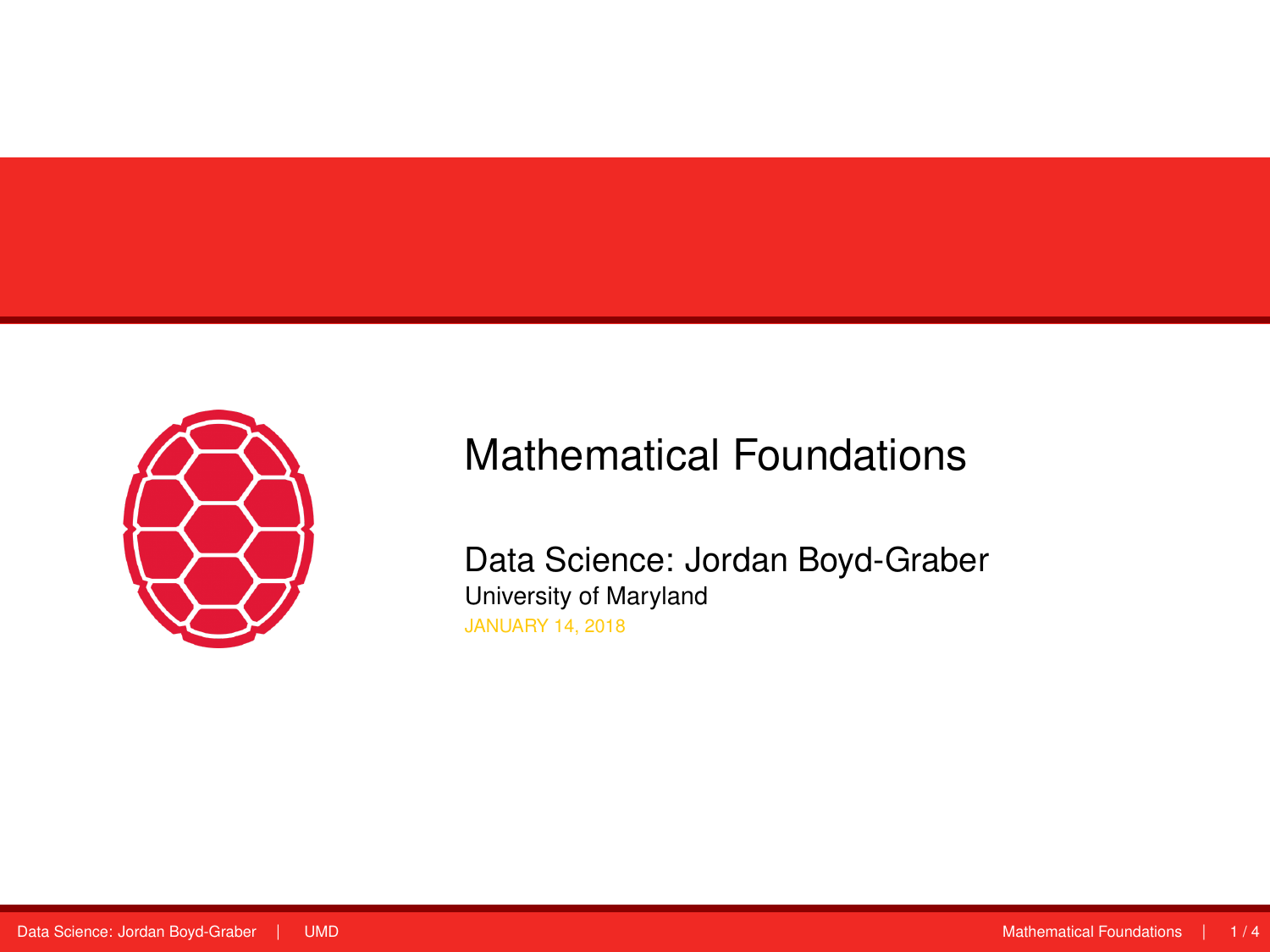<span id="page-0-0"></span>

# Mathematical Foundations

Data Science: Jordan Boyd-Graber University of Maryland JANUARY 14, 2018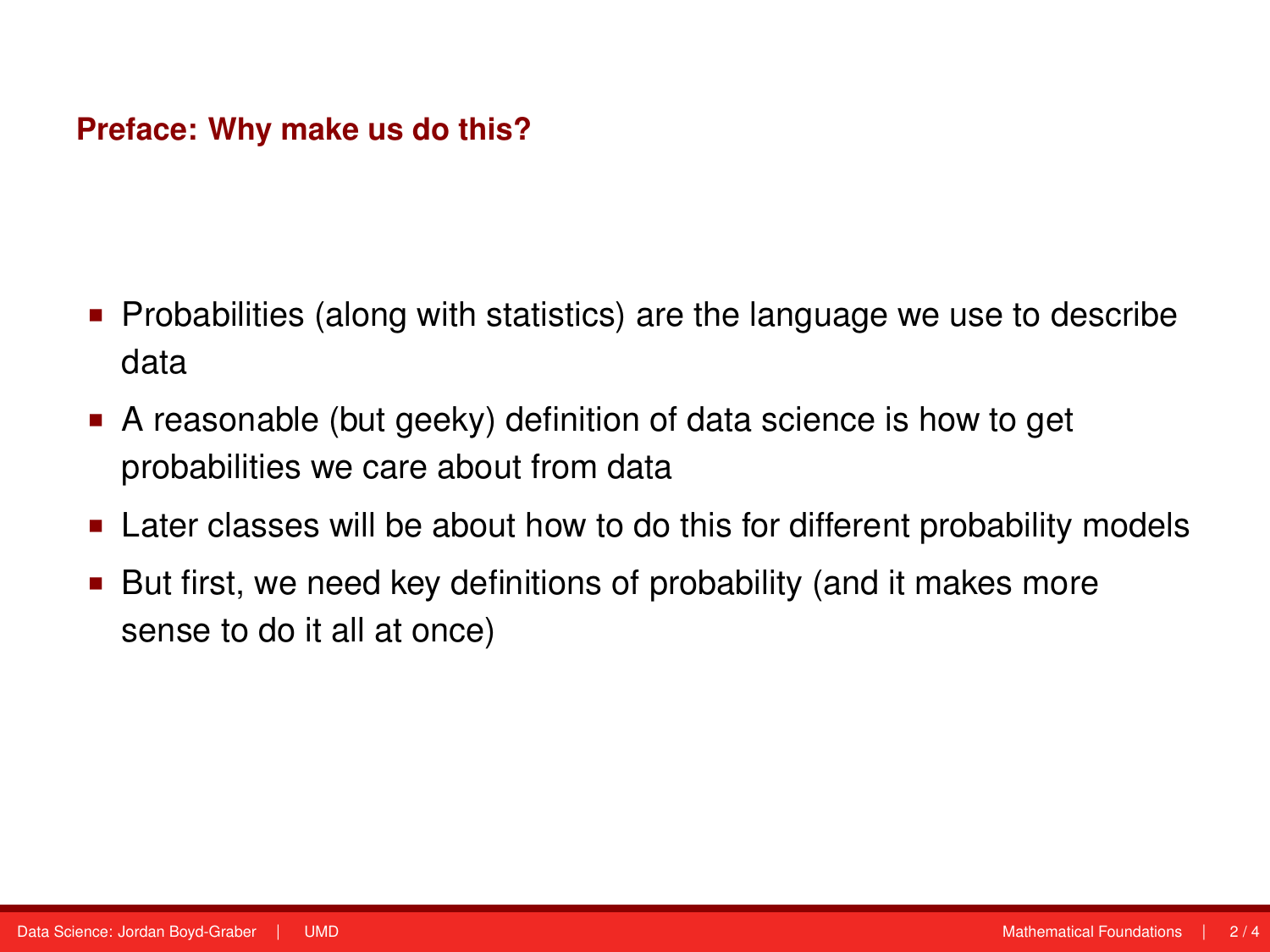#### **Preface: Why make us do this?**

- Probabilities (along with statistics) are the language we use to describe data
- A reasonable (but geeky) definition of data science is how to get probabilities we care about from data
- Later classes will be about how to do this for different probability models
- But first, we need key definitions of probability (and it makes more sense to do it all at once)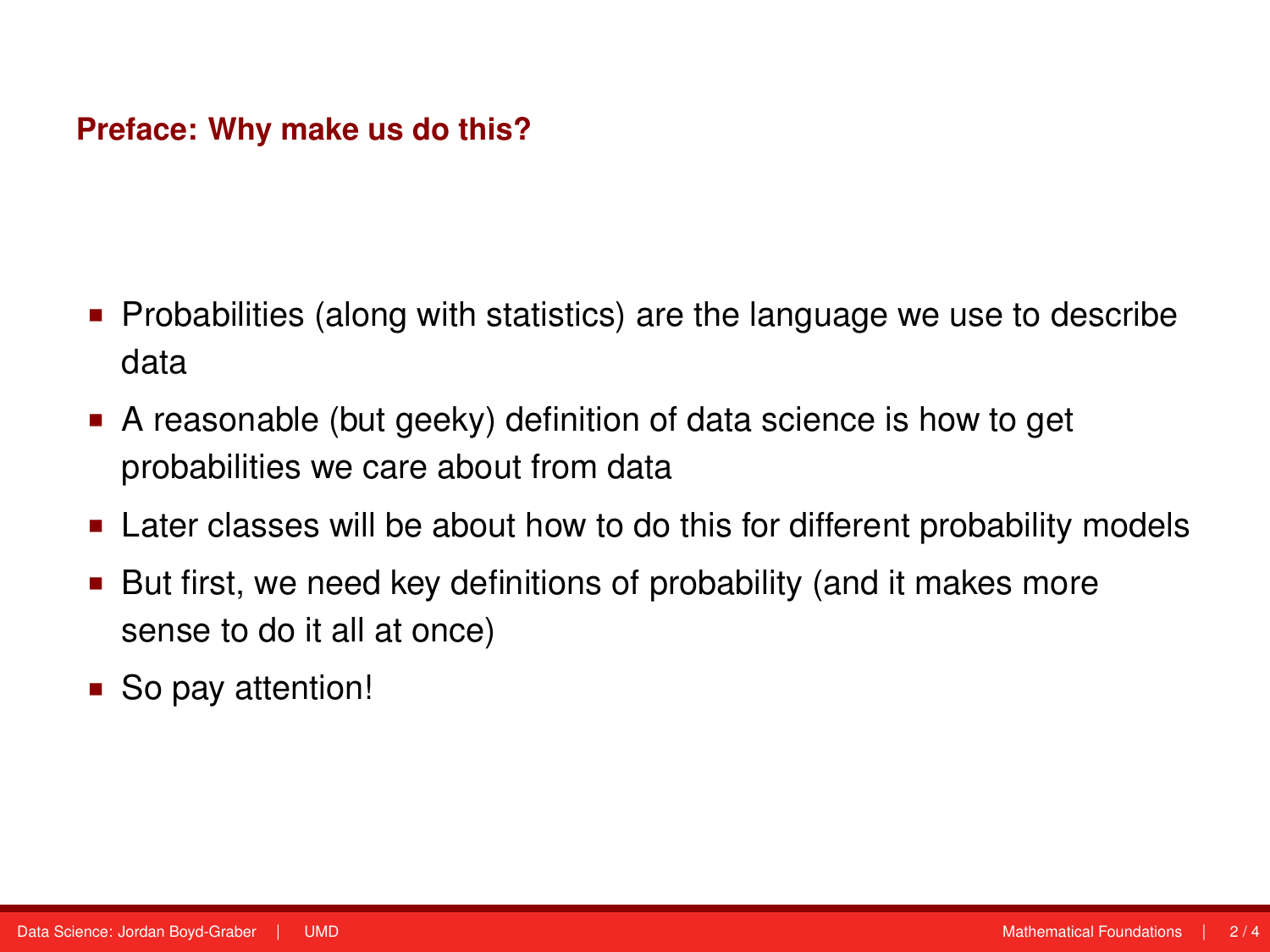#### **Preface: Why make us do this?**

- Probabilities (along with statistics) are the language we use to describe data
- A reasonable (but geeky) definition of data science is how to get probabilities we care about from data
- Later classes will be about how to do this for different probability models
- But first, we need key definitions of probability (and it makes more sense to do it all at once)
- So pay attention!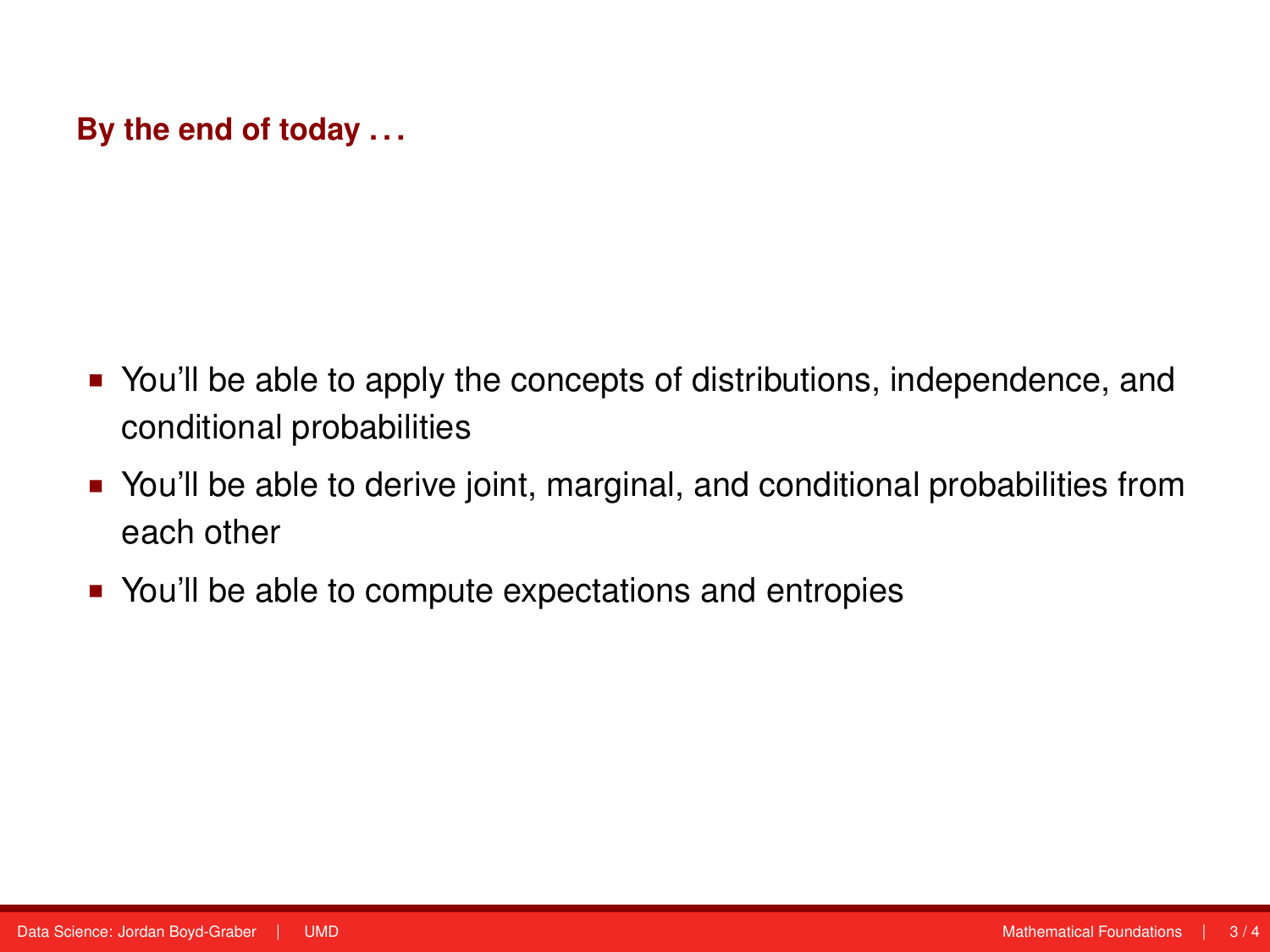## **By the end of today . . .**

- You'll be able to apply the concepts of distributions, independence, and conditional probabilities
- You'll be able to derive joint, marginal, and conditional probabilities from each other
- You'll be able to compute expectations and entropies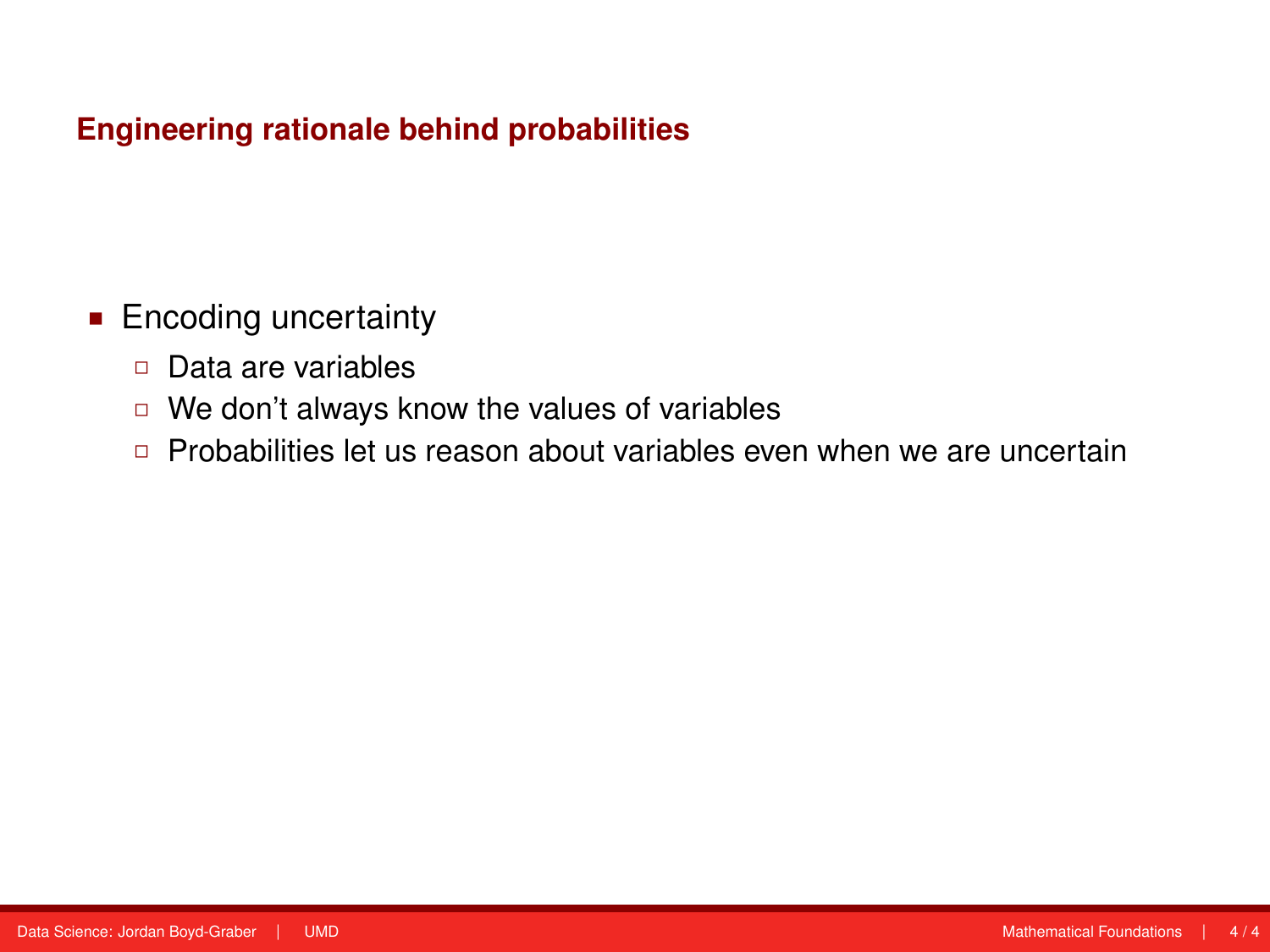## **Engineering rationale behind probabilities**

- **Encoding uncertainty** 
	- Data are variables
	- □ We don't always know the values of variables
	- □ Probabilities let us reason about variables even when we are uncertain